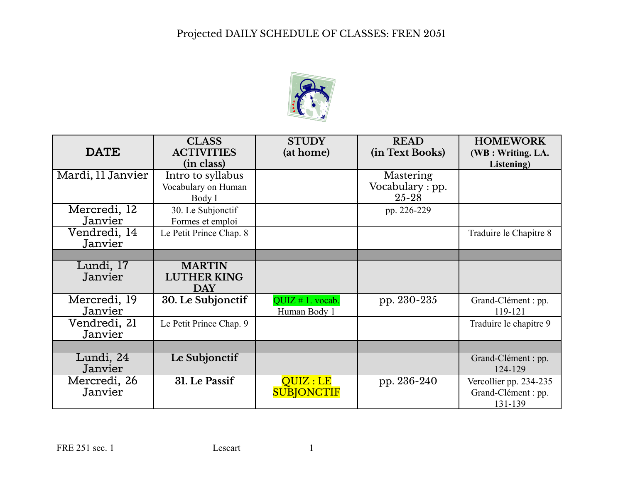

| <b>DATE</b>       | <b>CLASS</b><br><b>ACTIVITIES</b> | <b>STUDY</b><br>(at home) | <b>READ</b><br>(in Text Books) | <b>HOMEWORK</b><br>(WB: Writing. LA. |
|-------------------|-----------------------------------|---------------------------|--------------------------------|--------------------------------------|
|                   | (in class)                        |                           |                                | Listening)                           |
| Mardi, 11 Janvier | Intro to syllabus                 |                           | Mastering                      |                                      |
|                   | Vocabulary on Human               |                           | Vocabulary : pp.               |                                      |
|                   | Body I                            |                           | $25 - 28$                      |                                      |
| Mercredi, 12      | 30. Le Subjonctif                 |                           | pp. 226-229                    |                                      |
| Janvier           | Formes et emploi                  |                           |                                |                                      |
| Vendredi, 14      | Le Petit Prince Chap. 8           |                           |                                | Traduire le Chapitre 8               |
| Janvier           |                                   |                           |                                |                                      |
|                   |                                   |                           |                                |                                      |
| Lundi, 17         | <b>MARTIN</b>                     |                           |                                |                                      |
| Janvier           | <b>LUTHER KING</b>                |                           |                                |                                      |
|                   | <b>DAY</b>                        |                           |                                |                                      |
| Mercredi, 19      | 30. Le Subjonctif                 | QUIZ #1. vocab.           | pp. 230-235                    | Grand-Clément : pp.                  |
| Janvier           |                                   | Human Body 1              |                                | 119-121                              |
| Vendredi, 21      | Le Petit Prince Chap. 9           |                           |                                | Traduire le chapitre 9               |
| Janvier           |                                   |                           |                                |                                      |
|                   |                                   |                           |                                |                                      |
| Lundi, 24         | Le Subjonctif                     |                           |                                | Grand-Clément : pp.                  |
| Janvier           |                                   |                           |                                | 124-129                              |
| Mercredi, 26      | 31. Le Passif                     | QUIZ:LE                   | pp. 236-240                    | Vercollier pp. 234-235               |
| Janvier           |                                   | <b>SUBJONCTIF</b>         |                                | Grand-Clément : pp.                  |
|                   |                                   |                           |                                | 131-139                              |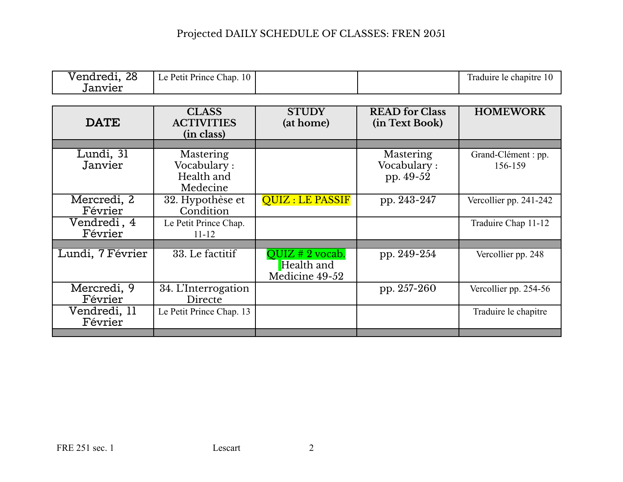| ററ<br>- -<br>vena.<br>l rod<br>∠ర | $\sim$<br>10<br>Chap.<br>Petit<br>Prince<br>Le |  | chapitre<br>raduire<br>-le |
|-----------------------------------|------------------------------------------------|--|----------------------------|
| Janvier                           |                                                |  |                            |

| <b>DATE</b>      | <b>CLASS</b><br><b>ACTIVITIES</b><br>(in class) | <b>STUDY</b><br>(at home)              | <b>READ</b> for Class<br>(in Text Book) | <b>HOMEWORK</b>        |
|------------------|-------------------------------------------------|----------------------------------------|-----------------------------------------|------------------------|
|                  |                                                 |                                        |                                         |                        |
| Lundi, 31        | Mastering                                       |                                        | Mastering                               | Grand-Clément : pp.    |
| Janvier          | Vocabulary:                                     |                                        | Vocabulary:                             | 156-159                |
|                  | Health and                                      |                                        | pp. 49-52                               |                        |
|                  | Medecine                                        |                                        |                                         |                        |
| Mercredi, 2      | 32. Hypothèse et                                | <b>QUIZ: LE PASSIF</b>                 | pp. 243-247                             | Vercollier pp. 241-242 |
| Février          | Condition                                       |                                        |                                         |                        |
| Vendredi, 4      | Le Petit Prince Chap.                           |                                        |                                         | Traduire Chap 11-12    |
| Février          | $11 - 12$                                       |                                        |                                         |                        |
|                  |                                                 |                                        |                                         |                        |
| Lundi, 7 Février | 33. Le factitif                                 | QUIZ $# 2$ vocab.<br><b>Health</b> and | pp. 249-254                             | Vercollier pp. 248     |
|                  |                                                 | Medicine 49-52                         |                                         |                        |
| Mercredi, 9      | 34. L'Interrogation                             |                                        | pp. 257-260                             | Vercollier pp. 254-56  |
| Février          | Directe                                         |                                        |                                         |                        |
| Vendredi, 11     | Le Petit Prince Chap. 13                        |                                        |                                         | Traduire le chapitre   |
| Février          |                                                 |                                        |                                         |                        |
|                  |                                                 |                                        |                                         |                        |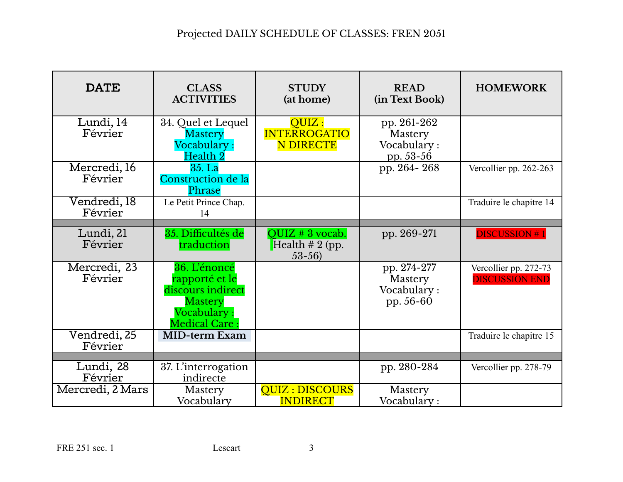| <b>DATE</b>             | <b>CLASS</b><br><b>ACTIVITIES</b>                                                                     | <b>STUDY</b><br>(at home)                            | <b>READ</b><br>(in Text Book)                      | <b>HOMEWORK</b>                                |
|-------------------------|-------------------------------------------------------------------------------------------------------|------------------------------------------------------|----------------------------------------------------|------------------------------------------------|
| Lundi, 14<br>Février    | 34. Quel et Lequel<br><b>Mastery</b><br>Vocabulary:<br>Health 2                                       | QUIZ:<br><b>INTERROGATIO</b><br><b>N DIRECTE</b>     | pp. 261-262<br>Mastery<br>Vocabulary:<br>pp. 53-56 |                                                |
| Mercredi, 16<br>Février | $35. \mathrm{La}$<br>Construction de la<br>Phrase                                                     |                                                      | pp. 264-268                                        | Vercollier pp. 262-263                         |
| Vendredi, 18<br>Février | Le Petit Prince Chap.<br>14                                                                           |                                                      |                                                    | Traduire le chapitre 14                        |
| Lundi, 21<br>Février    | 35. Difficultés de<br>traduction                                                                      | $QUIZ # 3$ vocab.<br>Health $\# 2$ (pp.<br>$53 - 56$ | pp. 269-271                                        | <b>DISCUSSION#1</b>                            |
| Mercredi, 23<br>Février | 36. L'énoncé<br>rapporté et le<br>discours indirect<br><b>Mastery</b><br>Vocabulary:<br>Medical Care: |                                                      | pp. 274-277<br>Mastery<br>Vocabulary:<br>pp. 56-60 | Vercollier pp. 272-73<br><b>DISCUSSION END</b> |
| Vendredi, 25<br>Février | <b>MID-term Exam</b>                                                                                  |                                                      |                                                    | Traduire le chapitre 15                        |
|                         |                                                                                                       |                                                      |                                                    |                                                |
| Lundi, 28<br>Février    | 37. L'interrogation<br>indirecte                                                                      |                                                      | pp. 280-284                                        | Vercollier pp. 278-79                          |
| Mercredi, 2 Mars        | Mastery<br>Vocabulary                                                                                 | <b>QUIZ: DISCOURS</b><br><b>INDIRECT</b>             | Mastery<br>Vocabulary:                             |                                                |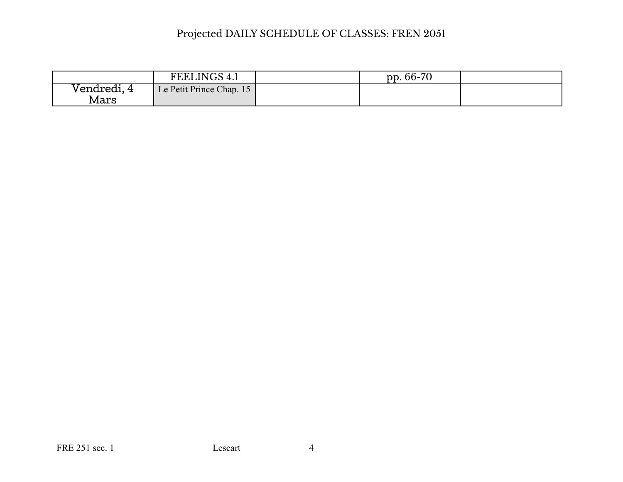|                     | FEELINGS 4.1             | . 66-70<br>pp. |  |
|---------------------|--------------------------|----------------|--|
| Vendredi, 4<br>Mars | Le Petit Prince Chap. 15 |                |  |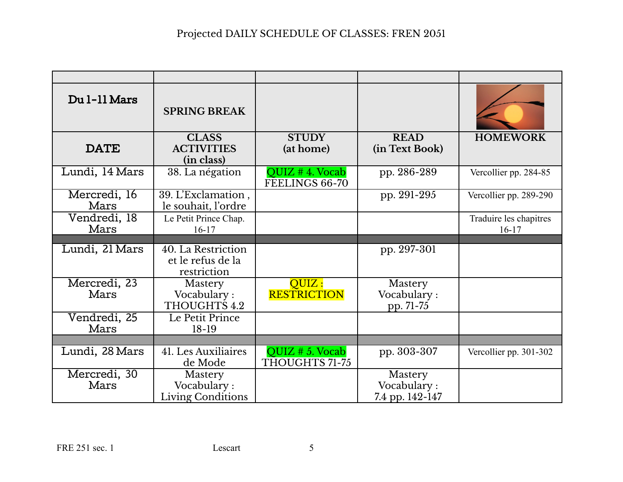| Du 1-11 Mars         | <b>SPRING BREAK</b>                                    |                                          |                                           |                                   |
|----------------------|--------------------------------------------------------|------------------------------------------|-------------------------------------------|-----------------------------------|
| <b>DATE</b>          | <b>CLASS</b><br><b>ACTIVITIES</b><br>(in class)        | <b>STUDY</b><br>(at home)                | <b>READ</b><br>(in Text Book)             | <b>HOMEWORK</b>                   |
| Lundi, 14 Mars       | 38. La négation                                        | QUIZ # 4. <i>Vocab</i><br>FEELINGS 66-70 | pp. 286-289                               | Vercollier pp. 284-85             |
| Mercredi, 16<br>Mars | 39. L'Exclamation,<br>le souhait, l'ordre              |                                          | pp. 291-295                               | Vercollier pp. 289-290            |
| Vendredi, 18<br>Mars | Le Petit Prince Chap.<br>$16-17$                       |                                          |                                           | Traduire les chapitres<br>$16-17$ |
|                      |                                                        |                                          |                                           |                                   |
| Lundi, 21 Mars       | 40. La Restriction<br>et le refus de la<br>restriction |                                          | pp. 297-301                               |                                   |
| Mercredi, 23<br>Mars | Mastery<br>Vocabulary:<br>THOUGHTS 4.2                 | QUIZ:<br><b>RESTRICTION</b>              | Mastery<br>Vocabulary:<br>pp. 71-75       |                                   |
| Vendredi, 25<br>Mars | Le Petit Prince<br>18-19                               |                                          |                                           |                                   |
|                      |                                                        |                                          |                                           |                                   |
| Lundi, 28 Mars       | 41. Les Auxiliaires<br>de Mode                         | QUIZ $# 5$ . Vocab<br>THOUGHTS 71-75     | pp. 303-307                               | Vercollier pp. 301-302            |
| Mercredi, 30<br>Mars | Mastery<br>Vocabulary:<br><b>Living Conditions</b>     |                                          | Mastery<br>Vocabulary:<br>7.4 pp. 142-147 |                                   |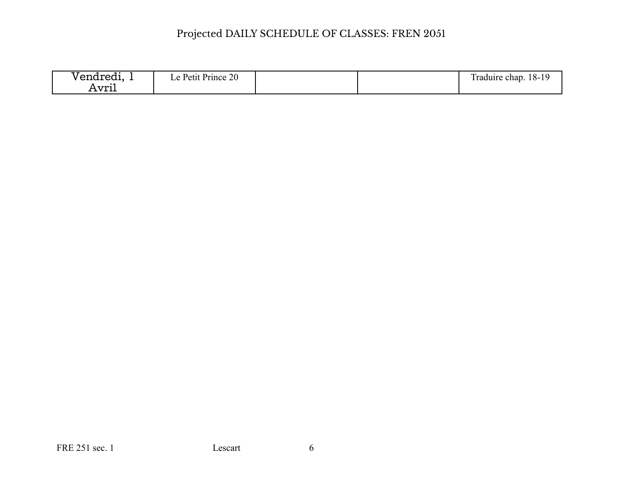| --<br>$\sim$<br>' ena.<br>. .<br>$\overline{\phantom{0}}$ | Prince 20<br>Petit<br>$\sim$ |  | —<br>$18-19$<br>Fraduire chap. |
|-----------------------------------------------------------|------------------------------|--|--------------------------------|
| --<br>Avril                                               |                              |  |                                |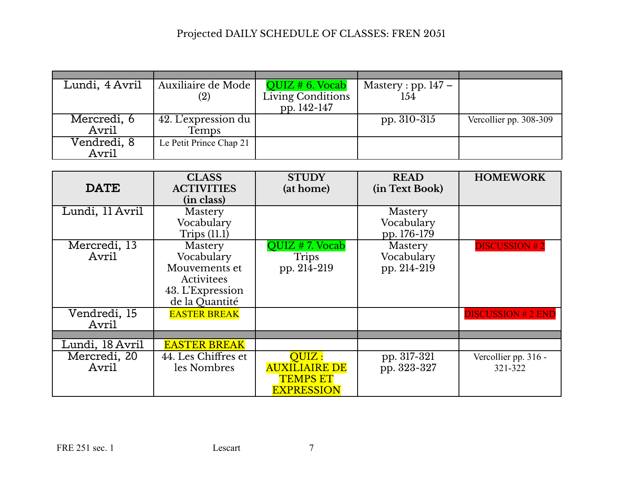| Lundi, 4 Avril | Auxiliaire de Mode      | QUIZ # 6. Vocab          | Mastery : pp. $147 -$ |                        |
|----------------|-------------------------|--------------------------|-----------------------|------------------------|
|                | (2)                     | <b>Living Conditions</b> | 154                   |                        |
|                |                         | pp. 142-147              |                       |                        |
| Mercredi, 6    | 42. L'expression du     |                          | pp. 310-315           | Vercollier pp. 308-309 |
| <b>Avril</b>   | <b>Temps</b>            |                          |                       |                        |
| Vendredi, 8    | Le Petit Prince Chap 21 |                          |                       |                        |
| Avril          |                         |                          |                       |                        |

| <b>DATE</b>                  | <b>CLASS</b><br><b>ACTIVITIES</b><br>(in class)                                            | <b>STUDY</b><br>(at home)                                             | <b>READ</b><br>(in Text Book)        | <b>HOMEWORK</b>                 |
|------------------------------|--------------------------------------------------------------------------------------------|-----------------------------------------------------------------------|--------------------------------------|---------------------------------|
| Lundi, Il Avril              | Mastery<br>Vocabulary<br>Trips $(11.1)$                                                    |                                                                       | Mastery<br>Vocabulary<br>pp. 176-179 |                                 |
| Mercredi, 13<br>Avril        | Mastery<br>Vocabulary<br>Mouvements et<br>Activitees<br>43. L'Expression<br>de la Quantité | QUIZ # 7. Vocab<br><b>Trips</b><br>pp. 214-219                        | Mastery<br>Vocabulary<br>pp. 214-219 | <b>DISCUSSION #2</b>            |
| Vendredi, 15<br>Avril        | <b>EASTER BREAK</b>                                                                        |                                                                       |                                      | <b>DISCUSSION #2 END</b>        |
| Lundi, 18 Avril              | <b>EASTER BREAK</b>                                                                        |                                                                       |                                      |                                 |
| Mercredi, 20<br><b>Avril</b> | 44. Les Chiffres et<br>les Nombres                                                         | OUIZ:<br><b>AUXILIAIRE DE</b><br><b>TEMPS ET</b><br><b>EXPRESSION</b> | pp. 317-321<br>pp. 323-327           | Vercollier pp. 316 -<br>321-322 |